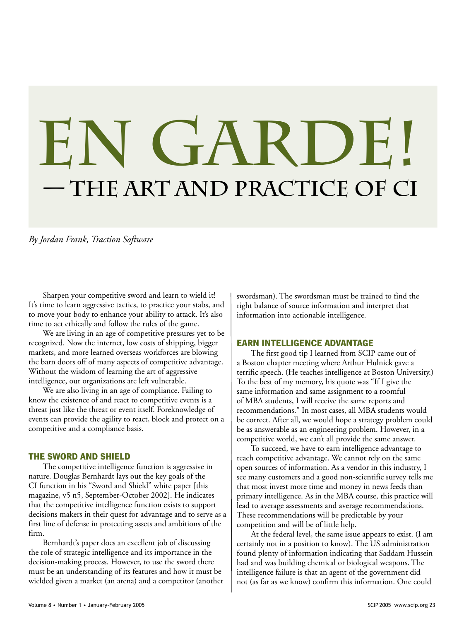# **— the Art and Practice of CI En Garde!**

*By Jordan Frank, Traction Software*

Sharpen your competitive sword and learn to wield it! It's time to learn aggressive tactics, to practice your stabs, and to move your body to enhance your ability to attack. It's also time to act ethically and follow the rules of the game.

We are living in an age of competitive pressures yet to be recognized. Now the internet, low costs of shipping, bigger markets, and more learned overseas workforces are blowing the barn doors off of many aspects of competitive advantage. Without the wisdom of learning the art of aggressive intelligence, our organizations are left vulnerable.

We are also living in an age of compliance. Failing to know the existence of and react to competitive events is a threat just like the threat or event itself. Foreknowledge of events can provide the agility to react, block and protect on a competitive and a compliance basis.

#### **THE SWORD AND SHIELD**

The competitive intelligence function is aggressive in nature. Douglas Bernhardt lays out the key goals of the CI function in his "Sword and Shield" white paper [this magazine, v5 n5, September-October 2002]. He indicates that the competitive intelligence function exists to support decisions makers in their quest for advantage and to serve as a first line of defense in protecting assets and ambitions of the firm.

Bernhardt's paper does an excellent job of discussing the role of strategic intelligence and its importance in the decision-making process. However, to use the sword there must be an understanding of its features and how it must be wielded given a market (an arena) and a competitor (another swordsman). The swordsman must be trained to find the right balance of source information and interpret that information into actionable intelligence.

#### **EARN INTELLIGENCE ADVANTAGE**

The first good tip I learned from SCIP came out of a Boston chapter meeting where Arthur Hulnick gave a terrific speech. (He teaches intelligence at Boston University.) To the best of my memory, his quote was "If I give the same information and same assignment to a roomful of MBA students, I will receive the same reports and recommendations." In most cases, all MBA students would be correct. After all, we would hope a strategy problem could be as answerable as an engineering problem. However, in a competitive world, we can't all provide the same answer.

To succeed, we have to earn intelligence advantage to reach competitive advantage. We cannot rely on the same open sources of information. As a vendor in this industry, I see many customers and a good non-scientific survey tells me that most invest more time and money in news feeds than primary intelligence. As in the MBA course, this practice will lead to average assessments and average recommendations. These recommendations will be predictable by your competition and will be of little help.

At the federal level, the same issue appears to exist. (I am certainly not in a position to know). The US administration found plenty of information indicating that Saddam Hussein had and was building chemical or biological weapons. The intelligence failure is that an agent of the government did not (as far as we know) confirm this information. One could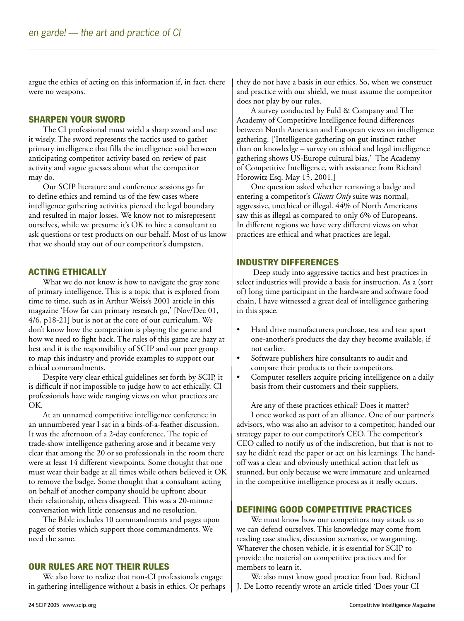argue the ethics of acting on this information if, in fact, there were no weapons.

#### **SHARPEN YOUR SWORD**

The CI professional must wield a sharp sword and use it wisely. The sword represents the tactics used to gather primary intelligence that fills the intelligence void between anticipating competitor activity based on review of past activity and vague guesses about what the competitor may do.

Our SCIP literature and conference sessions go far to define ethics and remind us of the few cases where intelligence gathering activities pierced the legal boundary and resulted in major losses. We know not to misrepresent ourselves, while we presume it's OK to hire a consultant to ask questions or test products on our behalf. Most of us know that we should stay out of our competitor's dumpsters.

#### **ACTING ETHICALLY**

What we do not know is how to navigate the gray zone of primary intelligence. This is a topic that is explored from time to time, such as in Arthur Weiss's 2001 article in this magazine 'How far can primary research go,' [Nov/Dec 01, 4/6, p18-21] but is not at the core of our curriculum. We don't know how the competition is playing the game and how we need to fight back. The rules of this game are hazy at best and it is the responsibility of SCIP and our peer group to map this industry and provide examples to support our ethical commandments.

Despite very clear ethical guidelines set forth by SCIP, it is difficult if not impossible to judge how to act ethically. CI professionals have wide ranging views on what practices are OK.

At an unnamed competitive intelligence conference in an unnumbered year I sat in a birds-of-a-feather discussion. It was the afternoon of a 2-day conference. The topic of trade-show intelligence gathering arose and it became very clear that among the 20 or so professionals in the room there were at least 14 different viewpoints. Some thought that one must wear their badge at all times while others believed it OK to remove the badge. Some thought that a consultant acting on behalf of another company should be upfront about their relationship, others disagreed. This was a 20-minute conversation with little consensus and no resolution.

The Bible includes 10 commandments and pages upon pages of stories which support those commandments. We need the same.

#### **OUR RULES ARE NOT THEIR RULES**

We also have to realize that non-CI professionals engage in gathering intelligence without a basis in ethics. Or perhaps they do not have a basis in our ethics. So, when we construct and practice with our shield, we must assume the competitor does not play by our rules.

A survey conducted by Fuld & Company and The Academy of Competitive Intelligence found differences between North American and European views on intelligence gathering. ['Intelligence gathering on gut instinct rather than on knowledge – survey on ethical and legal intelligence gathering shows US-Europe cultural bias,' The Academy of Competitive Intelligence, with assistance from Richard Horowitz Esq. May 15, 2001.]

One question asked whether removing a badge and entering a competitor's *Clients Only* suite was normal, aggressive, unethical or illegal. 44% of North Americans saw this as illegal as compared to only 6% of Europeans. In different regions we have very different views on what practices are ethical and what practices are legal.

#### **INDUSTRY DIFFERENCES**

 Deep study into aggressive tactics and best practices in select industries will provide a basis for instruction. As a (sort of) long time participant in the hardware and software food chain, I have witnessed a great deal of intelligence gathering in this space.

- Hard drive manufacturers purchase, test and tear apart one-another's products the day they become available, if not earlier.
- Software publishers hire consultants to audit and compare their products to their competitors.
- Computer resellers acquire pricing intelligence on a daily basis from their customers and their suppliers.

Are any of these practices ethical? Does it matter? I once worked as part of an alliance. One of our partner's advisors, who was also an advisor to a competitor, handed our strategy paper to our competitor's CEO. The competitor's CEO called to notify us of the indiscretion, but that is not to say he didn't read the paper or act on his learnings. The handoff was a clear and obviously unethical action that left us stunned, but only because we were immature and unlearned in the competitive intelligence process as it really occurs.

#### **DEFINING GOOD COMPETITIVE PRACTICES**

We must know how our competitors may attack us so we can defend ourselves. This knowledge may come from reading case studies, discussion scenarios, or wargaming. Whatever the chosen vehicle, it is essential for SCIP to provide the material on competitive practices and for members to learn it.

We also must know good practice from bad. Richard J. De Lotto recently wrote an article titled 'Does your CI